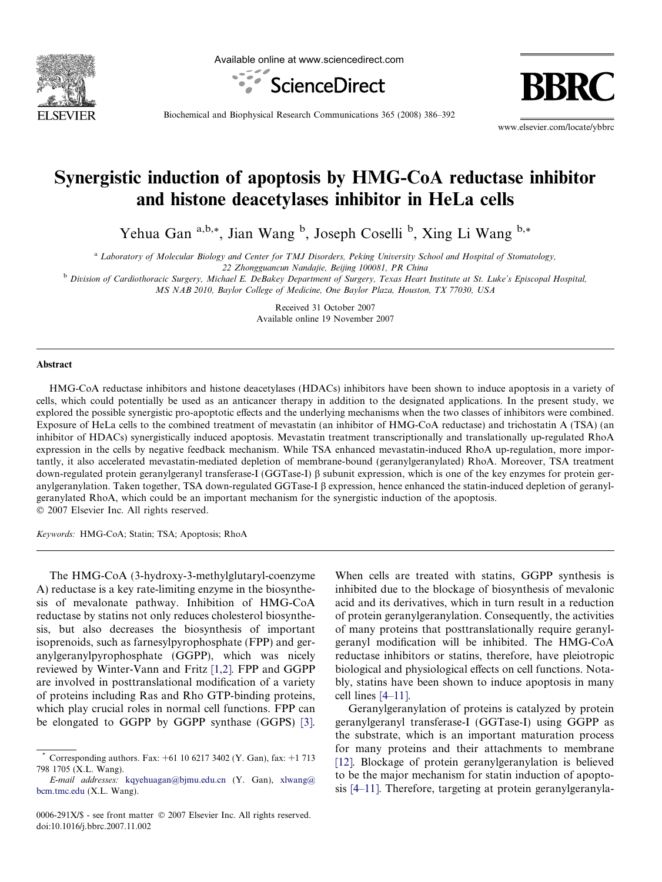

Available online at www.sciencedirect.com



**BBR** 

Biochemical and Biophysical Research Communications 365 (2008) 386–392

www.elsevier.com/locate/ybbrc

# Synergistic induction of apoptosis by HMG-CoA reductase inhibitor and histone deacetylases inhibitor in HeLa cells

Yehua Gan <sup>a,b,\*</sup>, Jian Wang <sup>b</sup>, Joseph Coselli <sup>b</sup>, Xing Li Wang <sup>b,\*</sup>

a Laboratory of Molecular Biology and Center for TMJ Disorders, Peking University School and Hospital of Stomatology,

22 Zhongguancun Nandajie, Beijing 100081, PR China

<sup>b</sup> Division of Cardiothoracic Surgery, Michael E. DeBakey Department of Surgery, Texas Heart Institute at St. Luke's Episcopal Hospital, MS NAB 2010, Baylor College of Medicine, One Baylor Plaza, Houston, TX 77030, USA

> Received 31 October 2007 Available online 19 November 2007

#### Abstract

HMG-CoA reductase inhibitors and histone deacetylases (HDACs) inhibitors have been shown to induce apoptosis in a variety of cells, which could potentially be used as an anticancer therapy in addition to the designated applications. In the present study, we explored the possible synergistic pro-apoptotic effects and the underlying mechanisms when the two classes of inhibitors were combined. Exposure of HeLa cells to the combined treatment of mevastatin (an inhibitor of HMG-CoA reductase) and trichostatin A (TSA) (an inhibitor of HDACs) synergistically induced apoptosis. Mevastatin treatment transcriptionally and translationally up-regulated RhoA expression in the cells by negative feedback mechanism. While TSA enhanced mevastatin-induced RhoA up-regulation, more importantly, it also accelerated mevastatin-mediated depletion of membrane-bound (geranylgeranylated) RhoA. Moreover, TSA treatment down-regulated protein geranylgeranyl transferase-I (GGTase-I)  $\beta$  subunit expression, which is one of the key enzymes for protein geranylgeranylation. Taken together, TSA down-regulated GGTase-I  $\beta$  expression, hence enhanced the statin-induced depletion of geranylgeranylated RhoA, which could be an important mechanism for the synergistic induction of the apoptosis.  $© 2007 Elsevier Inc. All rights reserved.$ 

Keywords: HMG-CoA; Statin; TSA; Apoptosis; RhoA

The HMG-CoA (3-hydroxy-3-methylglutaryl-coenzyme A) reductase is a key rate-limiting enzyme in the biosynthesis of mevalonate pathway. Inhibition of HMG-CoA reductase by statins not only reduces cholesterol biosynthesis, but also decreases the biosynthesis of important isoprenoids, such as farnesylpyrophosphate (FPP) and geranylgeranylpyrophosphate (GGPP), which was nicely reviewed by Winter-Vann and Fritz [\[1,2\]](#page-5-0). FPP and GGPP are involved in posttranslational modification of a variety of proteins including Ras and Rho GTP-binding proteins, which play crucial roles in normal cell functions. FPP can be elongated to GGPP by GGPP synthase (GGPS) [\[3\]](#page-5-0).

When cells are treated with statins, GGPP synthesis is inhibited due to the blockage of biosynthesis of mevalonic acid and its derivatives, which in turn result in a reduction of protein geranylgeranylation. Consequently, the activities of many proteins that posttranslationally require geranylgeranyl modification will be inhibited. The HMG-CoA reductase inhibitors or statins, therefore, have pleiotropic biological and physiological effects on cell functions. Notably, statins have been shown to induce apoptosis in many cell lines [\[4–11\].](#page-5-0)

Geranylgeranylation of proteins is catalyzed by protein geranylgeranyl transferase-I (GGTase-I) using GGPP as the substrate, which is an important maturation process for many proteins and their attachments to membrane [\[12\]](#page-5-0). Blockage of protein geranylgeranylation is believed to be the major mechanism for statin induction of apoptosis [\[4–11\].](#page-5-0) Therefore, targeting at protein geranylgeranyla-

<sup>\*</sup> Corresponding authors. Fax: +61 10 6217 3402 (Y. Gan), fax: +1 713 798 1705 (X.L. Wang).

E-mail addresses: [kqyehuagan@bjmu.edu.cn](mailto:kqyehuagan@bjmu.edu.cn) (Y. Gan), [xlwang@](mailto:xlwang@ bcm.tmc.edu) [bcm.tmc.edu](mailto:xlwang@ bcm.tmc.edu) (X.L. Wang).

<sup>0006-291</sup>X/\$ - see front matter © 2007 Elsevier Inc. All rights reserved. doi:10.1016/j.bbrc.2007.11.002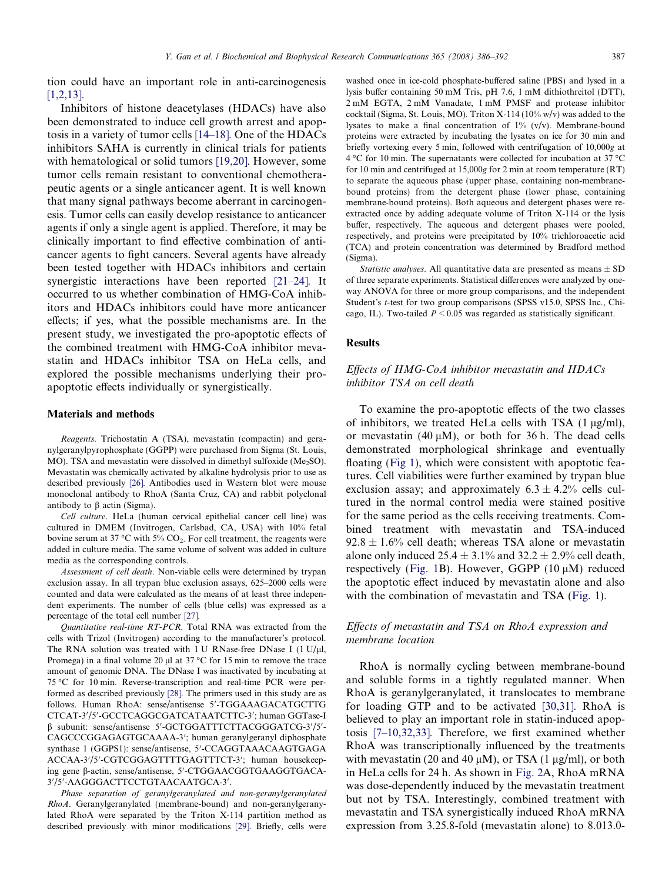tion could have an important role in anti-carcinogenesis [\[1,2,13\]](#page-5-0).

Inhibitors of histone deacetylases (HDACs) have also been demonstrated to induce cell growth arrest and apoptosis in a variety of tumor cells [\[14–18\].](#page-5-0) One of the HDACs inhibitors SAHA is currently in clinical trials for patients with hematological or solid tumors [\[19,20\]](#page-5-0). However, some tumor cells remain resistant to conventional chemotherapeutic agents or a single anticancer agent. It is well known that many signal pathways become aberrant in carcinogenesis. Tumor cells can easily develop resistance to anticancer agents if only a single agent is applied. Therefore, it may be clinically important to find effective combination of anticancer agents to fight cancers. Several agents have already been tested together with HDACs inhibitors and certain synergistic interactions have been reported [\[21–24\].](#page-5-0) It occurred to us whether combination of HMG-CoA inhibitors and HDACs inhibitors could have more anticancer effects; if yes, what the possible mechanisms are. In the present study, we investigated the pro-apoptotic effects of the combined treatment with HMG-CoA inhibitor mevastatin and HDACs inhibitor TSA on HeLa cells, and explored the possible mechanisms underlying their proapoptotic effects individually or synergistically.

#### Materials and methods

Reagents. Trichostatin A (TSA), mevastatin (compactin) and geranylgeranylpyrophosphate (GGPP) were purchased from Sigma (St. Louis, MO). TSA and mevastatin were dissolved in dimethyl sulfoxide  $(Me<sub>2</sub>SO)$ . Mevastatin was chemically activated by alkaline hydrolysis prior to use as described previously [\[26\].](#page-6-0) Antibodies used in Western blot were mouse monoclonal antibody to RhoA (Santa Cruz, CA) and rabbit polyclonal antibody to  $\beta$  actin (Sigma).

Cell culture. HeLa (human cervical epithelial cancer cell line) was cultured in DMEM (Invitrogen, Carlsbad, CA, USA) with 10% fetal bovine serum at 37 °C with 5%  $CO<sub>2</sub>$ . For cell treatment, the reagents were added in culture media. The same volume of solvent was added in culture media as the corresponding controls.

Assessment of cell death. Non-viable cells were determined by trypan exclusion assay. In all trypan blue exclusion assays, 625–2000 cells were counted and data were calculated as the means of at least three independent experiments. The number of cells (blue cells) was expressed as a percentage of the total cell number [\[27\].](#page-6-0)

Quantitative real-time RT-PCR. Total RNA was extracted from the cells with Trizol (Invitrogen) according to the manufacturer's protocol. The RNA solution was treated with 1 U RNase-free DNase I  $(1 U/uI)$ , Promega) in a final volume 20  $\mu$ l at 37 °C for 15 min to remove the trace amount of genomic DNA. The DNase I was inactivated by incubating at 75 °C for 10 min. Reverse-transcription and real-time PCR were performed as described previously [\[28\].](#page-6-0) The primers used in this study are as follows. Human RhoA: sense/antisense 5'-TGGAAAGACATGCTTG CTCAT-3'/5'-GCCTCAGGCGATCATAATCTTC-3'; human GGTase-I  $\beta$  subunit: sense/antisense 5'-GCTGGATTTCTTACGGGATCG-3'/5'-CAGCCCGGAGAGTGCAAAA-3'; human geranylgeranyl diphosphate synthase 1 (GGPS1): sense/antisense, 5'-CCAGGTAAACAAGTGAGA ACCAA-3'/5'-CGTCGGAGTTTTGAGTTTCT-3'; human housekeeping gene β-actin, sense/antisense, 5'-CTGGAACGGTGAAGGTGACA-3'/5'-AAGGGACTTCCTGTAACAATGCA-3'.

Phase separation of geranylgeranylated and non-geranylgeranylated RhoA. Geranylgeranylated (membrane-bound) and non-geranylgeranylated RhoA were separated by the Triton X-114 partition method as described previously with minor modifications [\[29\]](#page-6-0). Briefly, cells were washed once in ice-cold phosphate-buffered saline (PBS) and lysed in a lysis buffer containing 50 mM Tris, pH 7.6, 1 mM dithiothreitol (DTT), 2 mM EGTA, 2 mM Vanadate, 1 mM PMSF and protease inhibitor cocktail (Sigma, St. Louis, MO). Triton X-114 (10% w/v) was added to the lysates to make a final concentration of 1% (v/v). Membrane-bound proteins were extracted by incubating the lysates on ice for 30 min and briefly vortexing every 5 min, followed with centrifugation of 10,000g at  $4^{\circ}$ C for 10 min. The supernatants were collected for incubation at 37  $^{\circ}$ C for 10 min and centrifuged at 15,000g for 2 min at room temperature (RT) to separate the aqueous phase (upper phase, containing non-membranebound proteins) from the detergent phase (lower phase, containing membrane-bound proteins). Both aqueous and detergent phases were reextracted once by adding adequate volume of Triton X-114 or the lysis buffer, respectively. The aqueous and detergent phases were pooled, respectively, and proteins were precipitated by 10% trichloroacetic acid (TCA) and protein concentration was determined by Bradford method (Sigma).

Statistic analyses. All quantitative data are presented as means  $\pm$  SD of three separate experiments. Statistical differences were analyzed by oneway ANOVA for three or more group comparisons, and the independent Student's t-test for two group comparisons (SPSS v15.0, SPSS Inc., Chicago, IL). Two-tailed  $P \le 0.05$  was regarded as statistically significant.

#### Results

## Effects of HMG-CoA inhibitor mevastatin and HDACs inhibitor TSA on cell death

To examine the pro-apoptotic effects of the two classes of inhibitors, we treated HeLa cells with TSA  $(1 \mu g/ml)$ , or mevastatin (40  $\mu$ M), or both for 36 h. The dead cells demonstrated morphological shrinkage and eventually floating ([Fig 1](#page-2-0)), which were consistent with apoptotic features. Cell viabilities were further examined by trypan blue exclusion assay; and approximately  $6.3 \pm 4.2\%$  cells cultured in the normal control media were stained positive for the same period as the cells receiving treatments. Combined treatment with mevastatin and TSA-induced  $92.8 \pm 1.6\%$  cell death; whereas TSA alone or mevastatin alone only induced  $25.4 \pm 3.1\%$  and  $32.2 \pm 2.9\%$  cell death, respectively ([Fig. 1B](#page-2-0)). However, GGPP (10  $\mu$ M) reduced the apoptotic effect induced by mevastatin alone and also with the combination of mevastatin and TSA ([Fig. 1](#page-2-0)).

## Effects of mevastatin and TSA on RhoA expression and membrane location

RhoA is normally cycling between membrane-bound and soluble forms in a tightly regulated manner. When RhoA is geranylgeranylated, it translocates to membrane for loading GTP and to be activated [\[30,31\]](#page-6-0). RhoA is believed to play an important role in statin-induced apoptosis [\[7–10,32,33\].](#page-5-0) Therefore, we first examined whether RhoA was transcriptionally influenced by the treatments with mevastatin (20 and 40  $\mu$ M), or TSA (1  $\mu$ g/ml), or both in HeLa cells for 24 h. As shown in [Fig. 2A](#page-3-0), RhoA mRNA was dose-dependently induced by the mevastatin treatment but not by TSA. Interestingly, combined treatment with mevastatin and TSA synergistically induced RhoA mRNA expression from 3.25.8-fold (mevastatin alone) to 8.013.0-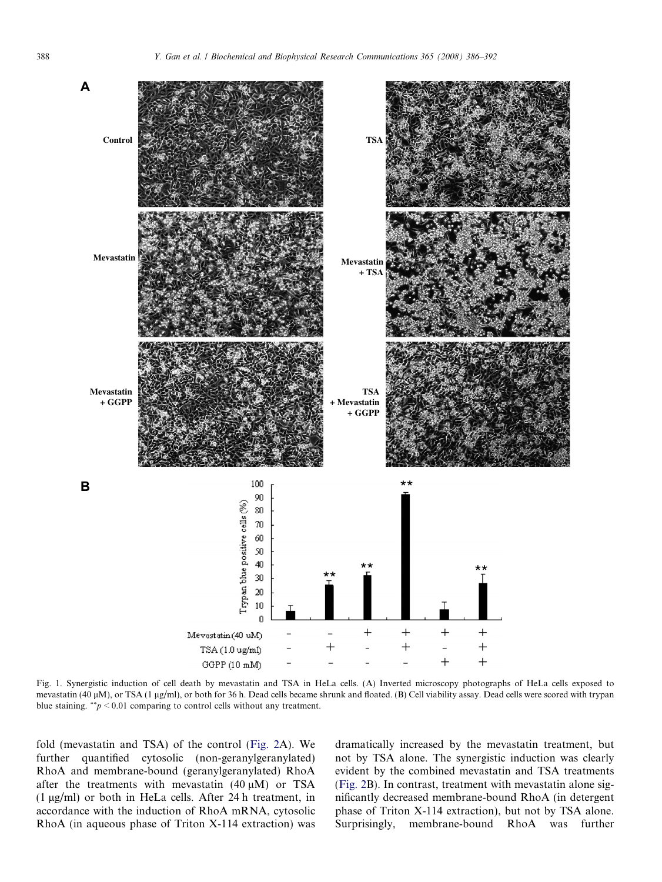<span id="page-2-0"></span>

Fig. 1. Synergistic induction of cell death by mevastatin and TSA in HeLa cells. (A) Inverted microscopy photographs of HeLa cells exposed to mevastatin (40  $\mu$ M), or TSA (1  $\mu$ g/ml), or both for 36 h. Dead cells became shrunk and floated. (B) Cell viability assay. Dead cells were scored with trypan blue staining.  $^{**}p \leq 0.01$  comparing to control cells without any treatment.

fold (mevastatin and TSA) of the control [\(Fig. 2](#page-3-0)A). We further quantified cytosolic (non-geranylgeranylated) RhoA and membrane-bound (geranylgeranylated) RhoA after the treatments with mevastatin  $(40 \mu M)$  or TSA  $(1 \mu g/ml)$  or both in HeLa cells. After 24 h treatment, in accordance with the induction of RhoA mRNA, cytosolic RhoA (in aqueous phase of Triton X-114 extraction) was dramatically increased by the mevastatin treatment, but not by TSA alone. The synergistic induction was clearly evident by the combined mevastatin and TSA treatments [\(Fig. 2B](#page-3-0)). In contrast, treatment with mevastatin alone significantly decreased membrane-bound RhoA (in detergent phase of Triton X-114 extraction), but not by TSA alone. Surprisingly, membrane-bound RhoA was further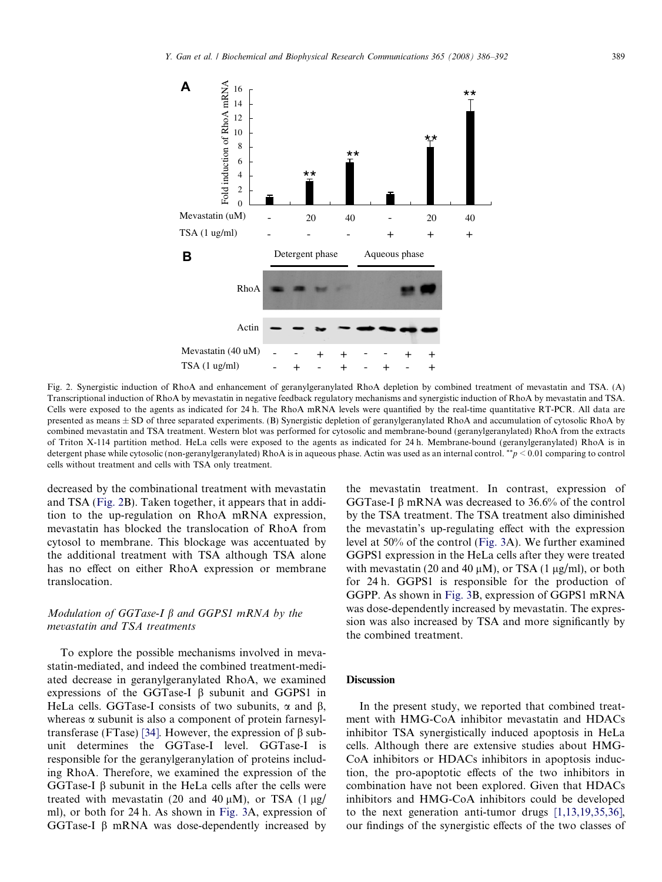<span id="page-3-0"></span>

Fig. 2. Synergistic induction of RhoA and enhancement of geranylgeranylated RhoA depletion by combined treatment of mevastatin and TSA. (A) Transcriptional induction of RhoA by mevastatin in negative feedback regulatory mechanisms and synergistic induction of RhoA by mevastatin and TSA. Cells were exposed to the agents as indicated for 24 h. The RhoA mRNA levels were quantified by the real-time quantitative RT-PCR. All data are presented as means ± SD of three separated experiments. (B) Synergistic depletion of geranylgeranylated RhoA and accumulation of cytosolic RhoA by combined mevastatin and TSA treatment. Western blot was performed for cytosolic and membrane-bound (geranylgeranylated) RhoA from the extracts of Triton X-114 partition method. HeLa cells were exposed to the agents as indicated for 24 h. Membrane-bound (geranylgeranylated) RhoA is in detergent phase while cytosolic (non-geranylgeranylated) RhoA is in aqueous phase. Actin was used as an internal control. \*\*p < 0.01 comparing to control cells without treatment and cells with TSA only treatment.

decreased by the combinational treatment with mevastatin and TSA (Fig. 2B). Taken together, it appears that in addition to the up-regulation on RhoA mRNA expression, mevastatin has blocked the translocation of RhoA from cytosol to membrane. This blockage was accentuated by the additional treatment with TSA although TSA alone has no effect on either RhoA expression or membrane translocation.

## Modulation of GGTase-I  $\beta$  and GGPS1 mRNA by the mevastatin and TSA treatments

To explore the possible mechanisms involved in mevastatin-mediated, and indeed the combined treatment-mediated decrease in geranylgeranylated RhoA, we examined expressions of the GGTase-I  $\beta$  subunit and GGPS1 in HeLa cells. GGTase-I consists of two subunits,  $\alpha$  and  $\beta$ , whereas  $\alpha$  subunit is also a component of protein farnesyl-transferase (FTase) [\[34\].](#page-6-0) However, the expression of  $\beta$  subunit determines the GGTase-I level. GGTase-I is responsible for the geranylgeranylation of proteins including RhoA. Therefore, we examined the expression of the GGTase-I  $\beta$  subunit in the HeLa cells after the cells were treated with mevastatin (20 and 40  $\mu$ M), or TSA (1  $\mu$ g/ ml), or both for 24 h. As shown in [Fig. 3A](#page-4-0), expression of GGTase-I  $\beta$  mRNA was dose-dependently increased by

the mevastatin treatment. In contrast, expression of GGTase-I  $\beta$  mRNA was decreased to 36.6% of the control by the TSA treatment. The TSA treatment also diminished the mevastatin's up-regulating effect with the expression level at 50% of the control ([Fig. 3A](#page-4-0)). We further examined GGPS1 expression in the HeLa cells after they were treated with mevastatin (20 and 40  $\mu$ M), or TSA (1  $\mu$ g/ml), or both for 24 h. GGPS1 is responsible for the production of GGPP. As shown in [Fig. 3B](#page-4-0), expression of GGPS1 mRNA was dose-dependently increased by mevastatin. The expression was also increased by TSA and more significantly by the combined treatment.

### **Discussion**

In the present study, we reported that combined treatment with HMG-CoA inhibitor mevastatin and HDACs inhibitor TSA synergistically induced apoptosis in HeLa cells. Although there are extensive studies about HMG-CoA inhibitors or HDACs inhibitors in apoptosis induction, the pro-apoptotic effects of the two inhibitors in combination have not been explored. Given that HDACs inhibitors and HMG-CoA inhibitors could be developed to the next generation anti-tumor drugs [\[1,13,19,35,36\],](#page-5-0) our findings of the synergistic effects of the two classes of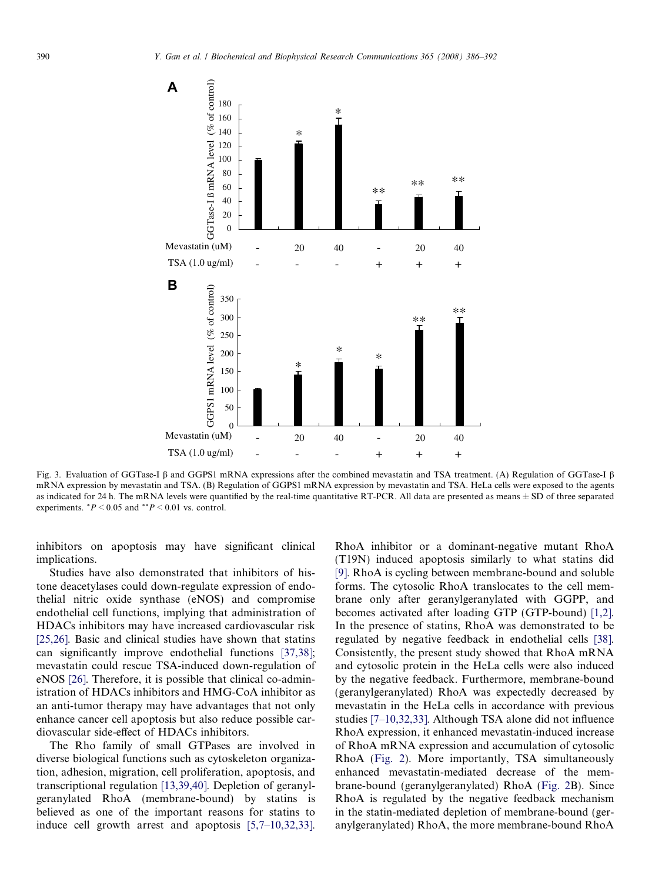<span id="page-4-0"></span>

Fig. 3. Evaluation of GGTase-I  $\beta$  and GGPS1 mRNA expressions after the combined mevastatin and TSA treatment. (A) Regulation of GGTase-I  $\beta$ mRNA expression by mevastatin and TSA. (B) Regulation of GGPS1 mRNA expression by mevastatin and TSA. HeLa cells were exposed to the agents as indicated for 24 h. The mRNA levels were quantified by the real-time quantitative RT-PCR. All data are presented as means  $\pm$  SD of three separated experiments.  $P < 0.05$  and  $P < 0.01$  vs. control.

inhibitors on apoptosis may have significant clinical implications.

Studies have also demonstrated that inhibitors of histone deacetylases could down-regulate expression of endothelial nitric oxide synthase (eNOS) and compromise endothelial cell functions, implying that administration of HDACs inhibitors may have increased cardiovascular risk [\[25,26\].](#page-6-0) Basic and clinical studies have shown that statins can significantly improve endothelial functions [\[37,38\]](#page-6-0); mevastatin could rescue TSA-induced down-regulation of eNOS [\[26\]](#page-6-0). Therefore, it is possible that clinical co-administration of HDACs inhibitors and HMG-CoA inhibitor as an anti-tumor therapy may have advantages that not only enhance cancer cell apoptosis but also reduce possible cardiovascular side-effect of HDACs inhibitors.

The Rho family of small GTPases are involved in diverse biological functions such as cytoskeleton organization, adhesion, migration, cell proliferation, apoptosis, and transcriptional regulation [\[13,39,40\].](#page-5-0) Depletion of geranylgeranylated RhoA (membrane-bound) by statins is believed as one of the important reasons for statins to induce cell growth arrest and apoptosis [\[5,7–10,32,33\]](#page-5-0).

RhoA inhibitor or a dominant-negative mutant RhoA (T19N) induced apoptosis similarly to what statins did [\[9\]](#page-5-0). RhoA is cycling between membrane-bound and soluble forms. The cytosolic RhoA translocates to the cell membrane only after geranylgeranylated with GGPP, and becomes activated after loading GTP (GTP-bound) [\[1,2\]](#page-5-0). In the presence of statins, RhoA was demonstrated to be regulated by negative feedback in endothelial cells [\[38\]](#page-6-0). Consistently, the present study showed that RhoA mRNA and cytosolic protein in the HeLa cells were also induced by the negative feedback. Furthermore, membrane-bound (geranylgeranylated) RhoA was expectedly decreased by mevastatin in the HeLa cells in accordance with previous studies [\[7–10,32,33\]](#page-5-0). Although TSA alone did not influence RhoA expression, it enhanced mevastatin-induced increase of RhoA mRNA expression and accumulation of cytosolic RhoA ([Fig. 2](#page-3-0)). More importantly, TSA simultaneously enhanced mevastatin-mediated decrease of the membrane-bound (geranylgeranylated) RhoA [\(Fig. 2](#page-3-0)B). Since RhoA is regulated by the negative feedback mechanism in the statin-mediated depletion of membrane-bound (geranylgeranylated) RhoA, the more membrane-bound RhoA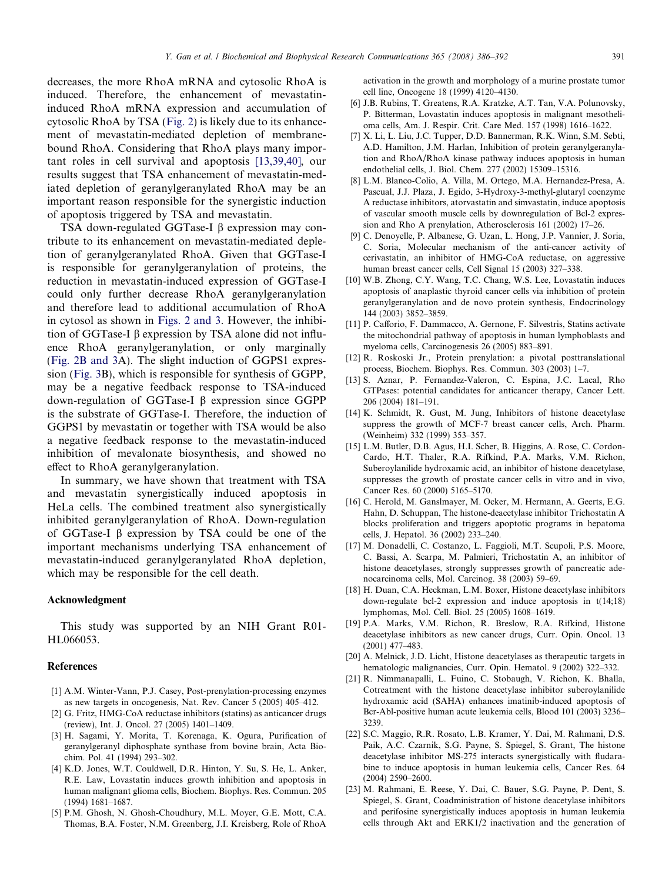<span id="page-5-0"></span>decreases, the more RhoA mRNA and cytosolic RhoA is induced. Therefore, the enhancement of mevastatininduced RhoA mRNA expression and accumulation of cytosolic RhoA by TSA ([Fig. 2](#page-3-0)) is likely due to its enhancement of mevastatin-mediated depletion of membranebound RhoA. Considering that RhoA plays many important roles in cell survival and apoptosis [13,39,40], our results suggest that TSA enhancement of mevastatin-mediated depletion of geranylgeranylated RhoA may be an important reason responsible for the synergistic induction of apoptosis triggered by TSA and mevastatin.

TSA down-regulated GGTase-I  $\beta$  expression may contribute to its enhancement on mevastatin-mediated depletion of geranylgeranylated RhoA. Given that GGTase-I is responsible for geranylgeranylation of proteins, the reduction in mevastatin-induced expression of GGTase-I could only further decrease RhoA geranylgeranylation and therefore lead to additional accumulation of RhoA in cytosol as shown in [Figs. 2 and 3.](#page-3-0) However, the inhibition of GGTase-I  $\beta$  expression by TSA alone did not influence RhoA geranylgeranylation, or only marginally ([Fig. 2B and 3](#page-3-0)A). The slight induction of GGPS1 expression [\(Fig. 3](#page-4-0)B), which is responsible for synthesis of GGPP, may be a negative feedback response to TSA-induced down-regulation of GGTase-I  $\beta$  expression since GGPP is the substrate of GGTase-I. Therefore, the induction of GGPS1 by mevastatin or together with TSA would be also a negative feedback response to the mevastatin-induced inhibition of mevalonate biosynthesis, and showed no effect to RhoA geranylgeranylation.

In summary, we have shown that treatment with TSA and mevastatin synergistically induced apoptosis in HeLa cells. The combined treatment also synergistically inhibited geranylgeranylation of RhoA. Down-regulation of GGTase-I  $\beta$  expression by TSA could be one of the important mechanisms underlying TSA enhancement of mevastatin-induced geranylgeranylated RhoA depletion, which may be responsible for the cell death.

## Acknowledgment

This study was supported by an NIH Grant R01- HL066053.

#### References

- [1] A.M. Winter-Vann, P.J. Casey, Post-prenylation-processing enzymes as new targets in oncogenesis, Nat. Rev. Cancer 5 (2005) 405–412.
- [2] G. Fritz, HMG-CoA reductase inhibitors (statins) as anticancer drugs (review), Int. J. Oncol. 27 (2005) 1401–1409.
- [3] H. Sagami, Y. Morita, T. Korenaga, K. Ogura, Purification of geranylgeranyl diphosphate synthase from bovine brain, Acta Biochim. Pol. 41 (1994) 293–302.
- [4] K.D. Jones, W.T. Couldwell, D.R. Hinton, Y. Su, S. He, L. Anker, R.E. Law, Lovastatin induces growth inhibition and apoptosis in human malignant glioma cells, Biochem. Biophys. Res. Commun. 205 (1994) 1681–1687.
- [5] P.M. Ghosh, N. Ghosh-Choudhury, M.L. Moyer, G.E. Mott, C.A. Thomas, B.A. Foster, N.M. Greenberg, J.I. Kreisberg, Role of RhoA

activation in the growth and morphology of a murine prostate tumor cell line, Oncogene 18 (1999) 4120–4130.

- [6] J.B. Rubins, T. Greatens, R.A. Kratzke, A.T. Tan, V.A. Polunovsky, P. Bitterman, Lovastatin induces apoptosis in malignant mesothelioma cells, Am. J. Respir. Crit. Care Med. 157 (1998) 1616–1622.
- [7] X. Li, L. Liu, J.C. Tupper, D.D. Bannerman, R.K. Winn, S.M. Sebti, A.D. Hamilton, J.M. Harlan, Inhibition of protein geranylgeranylation and RhoA/RhoA kinase pathway induces apoptosis in human endothelial cells, J. Biol. Chem. 277 (2002) 15309–15316.
- [8] L.M. Blanco-Colio, A. Villa, M. Ortego, M.A. Hernandez-Presa, A. Pascual, J.J. Plaza, J. Egido, 3-Hydroxy-3-methyl-glutaryl coenzyme A reductase inhibitors, atorvastatin and simvastatin, induce apoptosis of vascular smooth muscle cells by downregulation of Bcl-2 expression and Rho A prenylation, Atherosclerosis 161 (2002) 17–26.
- [9] C. Denoyelle, P. Albanese, G. Uzan, L. Hong, J.P. Vannier, J. Soria, C. Soria, Molecular mechanism of the anti-cancer activity of cerivastatin, an inhibitor of HMG-CoA reductase, on aggressive human breast cancer cells, Cell Signal 15 (2003) 327–338.
- [10] W.B. Zhong, C.Y. Wang, T.C. Chang, W.S. Lee, Lovastatin induces apoptosis of anaplastic thyroid cancer cells via inhibition of protein geranylgeranylation and de novo protein synthesis, Endocrinology 144 (2003) 3852–3859.
- [11] P. Cafforio, F. Dammacco, A. Gernone, F. Silvestris, Statins activate the mitochondrial pathway of apoptosis in human lymphoblasts and myeloma cells, Carcinogenesis 26 (2005) 883–891.
- [12] R. Roskoski Jr., Protein prenylation: a pivotal posttranslational process, Biochem. Biophys. Res. Commun. 303 (2003) 1–7.
- [13] S. Aznar, P. Fernandez-Valeron, C. Espina, J.C. Lacal, Rho GTPases: potential candidates for anticancer therapy, Cancer Lett. 206 (2004) 181–191.
- [14] K. Schmidt, R. Gust, M. Jung, Inhibitors of histone deacetylase suppress the growth of MCF-7 breast cancer cells, Arch. Pharm. (Weinheim) 332 (1999) 353–357.
- [15] L.M. Butler, D.B. Agus, H.I. Scher, B. Higgins, A. Rose, C. Cordon-Cardo, H.T. Thaler, R.A. Rifkind, P.A. Marks, V.M. Richon, Suberoylanilide hydroxamic acid, an inhibitor of histone deacetylase, suppresses the growth of prostate cancer cells in vitro and in vivo, Cancer Res. 60 (2000) 5165–5170.
- [16] C. Herold, M. Ganslmayer, M. Ocker, M. Hermann, A. Geerts, E.G. Hahn, D. Schuppan, The histone-deacetylase inhibitor Trichostatin A blocks proliferation and triggers apoptotic programs in hepatoma cells, J. Hepatol. 36 (2002) 233–240.
- [17] M. Donadelli, C. Costanzo, L. Faggioli, M.T. Scupoli, P.S. Moore, C. Bassi, A. Scarpa, M. Palmieri, Trichostatin A, an inhibitor of histone deacetylases, strongly suppresses growth of pancreatic adenocarcinoma cells, Mol. Carcinog. 38 (2003) 59–69.
- [18] H. Duan, C.A. Heckman, L.M. Boxer, Histone deacetylase inhibitors down-regulate bcl-2 expression and induce apoptosis in t(14;18) lymphomas, Mol. Cell. Biol. 25 (2005) 1608–1619.
- [19] P.A. Marks, V.M. Richon, R. Breslow, R.A. Rifkind, Histone deacetylase inhibitors as new cancer drugs, Curr. Opin. Oncol. 13 (2001) 477–483.
- [20] A. Melnick, J.D. Licht, Histone deacetylases as therapeutic targets in hematologic malignancies, Curr. Opin. Hematol. 9 (2002) 322–332.
- [21] R. Nimmanapalli, L. Fuino, C. Stobaugh, V. Richon, K. Bhalla, Cotreatment with the histone deacetylase inhibitor suberoylanilide hydroxamic acid (SAHA) enhances imatinib-induced apoptosis of Bcr-Abl-positive human acute leukemia cells, Blood 101 (2003) 3236– 3239.
- [22] S.C. Maggio, R.R. Rosato, L.B. Kramer, Y. Dai, M. Rahmani, D.S. Paik, A.C. Czarnik, S.G. Payne, S. Spiegel, S. Grant, The histone deacetylase inhibitor MS-275 interacts synergistically with fludarabine to induce apoptosis in human leukemia cells, Cancer Res. 64 (2004) 2590–2600.
- [23] M. Rahmani, E. Reese, Y. Dai, C. Bauer, S.G. Payne, P. Dent, S. Spiegel, S. Grant, Coadministration of histone deacetylase inhibitors and perifosine synergistically induces apoptosis in human leukemia cells through Akt and ERK1/2 inactivation and the generation of